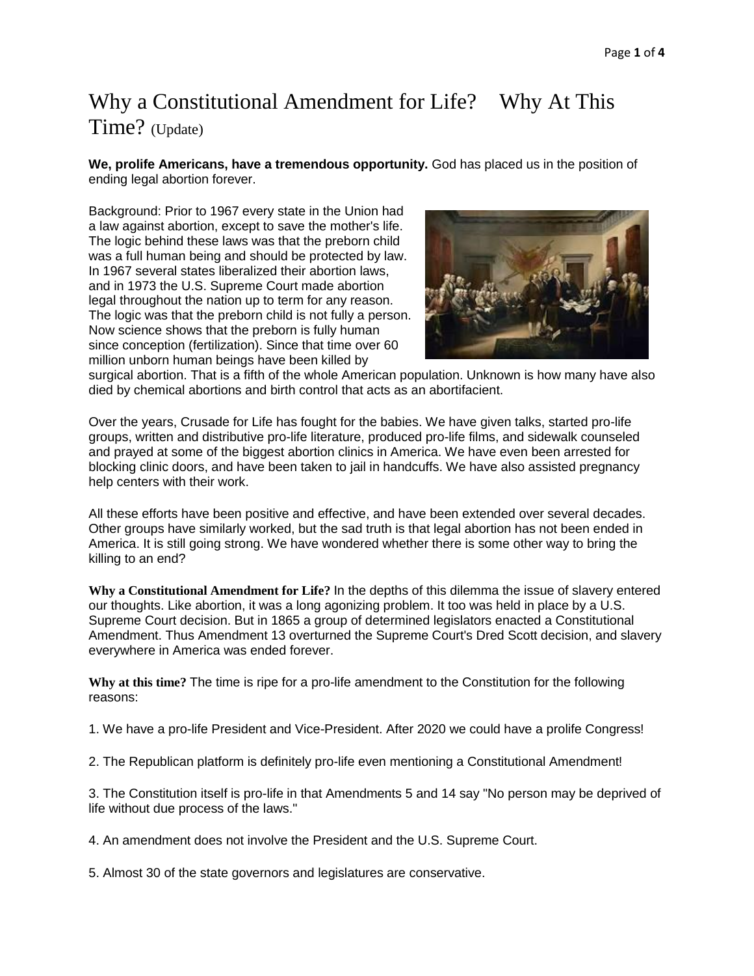## Why a Constitutional Amendment for Life? Why At This Time? (Update)

**We, prolife Americans, have a tremendous opportunity.** God has placed us in the position of ending legal abortion forever.

Background: Prior to 1967 every state in the Union had a law against abortion, except to save the mother's life. The logic behind these laws was that the preborn child was a full human being and should be protected by law. In 1967 several states liberalized their abortion laws, and in 1973 the U.S. Supreme Court made abortion legal throughout the nation up to term for any reason. The logic was that the preborn child is not fully a person. Now science shows that the preborn is fully human since conception (fertilization). Since that time over 60 million unborn human beings have been killed by



surgical abortion. That is a fifth of the whole American population. Unknown is how many have also died by chemical abortions and birth control that acts as an abortifacient.

Over the years, Crusade for Life has fought for the babies. We have given talks, started pro-life groups, written and distributive pro-life literature, produced pro-life films, and sidewalk counseled and prayed at some of the biggest abortion clinics in America. We have even been arrested for blocking clinic doors, and have been taken to jail in handcuffs. We have also assisted pregnancy help centers with their work.

All these efforts have been positive and effective, and have been extended over several decades. Other groups have similarly worked, but the sad truth is that legal abortion has not been ended in America. It is still going strong. We have wondered whether there is some other way to bring the killing to an end?

**Why a Constitutional Amendment for Life?** In the depths of this dilemma the issue of slavery entered our thoughts. Like abortion, it was a long agonizing problem. It too was held in place by a U.S. Supreme Court decision. But in 1865 a group of determined legislators enacted a Constitutional Amendment. Thus Amendment 13 overturned the Supreme Court's Dred Scott decision, and slavery everywhere in America was ended forever.

**Why at this time?** The time is ripe for a pro-life amendment to the Constitution for the following reasons:

1. We have a pro-life President and Vice-President. After 2020 we could have a prolife Congress!

2. The Republican platform is definitely pro-life even mentioning a Constitutional Amendment!

3. The Constitution itself is pro-life in that Amendments 5 and 14 say "No person may be deprived of life without due process of the laws."

4. An amendment does not involve the President and the U.S. Supreme Court.

5. Almost 30 of the state governors and legislatures are conservative.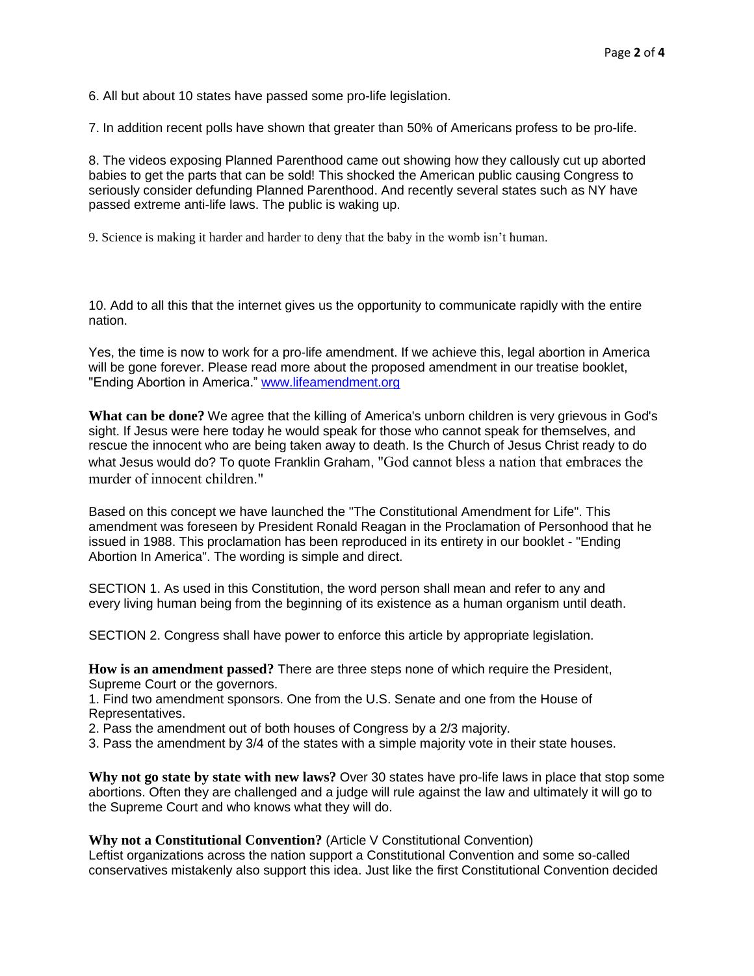6. All but about 10 states have passed some pro-life legislation.

7. In addition recent polls have shown that greater than 50% of Americans profess to be pro-life.

8. The videos exposing Planned Parenthood came out showing how they callously cut up aborted babies to get the parts that can be sold! This shocked the American public causing Congress to seriously consider defunding Planned Parenthood. And recently several states such as NY have passed extreme anti-life laws. The public is waking up.

9. Science is making it harder and harder to deny that the baby in the womb isn't human.

10. Add to all this that the internet gives us the opportunity to communicate rapidly with the entire nation.

Yes, the time is now to work for a pro-life amendment. If we achieve this, legal abortion in America will be gone forever. Please read more about the proposed amendment in our treatise booklet, "Ending Abortion in America." [www.lifeamendment.org](http://www.lifeamendment.org/)

**What can be done?** We agree that the killing of America's unborn children is very grievous in God's sight. If Jesus were here today he would speak for those who cannot speak for themselves, and rescue the innocent who are being taken away to death. Is the Church of Jesus Christ ready to do what Jesus would do? To quote Franklin Graham, "God cannot bless a nation that embraces the murder of innocent children."

Based on this concept we have launched the "The Constitutional Amendment for Life". This amendment was foreseen by President Ronald Reagan in the Proclamation of Personhood that he issued in 1988. This proclamation has been reproduced in its entirety in our booklet - "Ending Abortion In America". The wording is simple and direct.

SECTION 1. As used in this Constitution, the word person shall mean and refer to any and every living human being from the beginning of its existence as a human organism until death.

SECTION 2. Congress shall have power to enforce this article by appropriate legislation.

**How is an amendment passed?** There are three steps none of which require the President, Supreme Court or the governors.

1. Find two amendment sponsors. One from the U.S. Senate and one from the House of Representatives.

2. Pass the amendment out of both houses of Congress by a 2/3 majority.

3. Pass the amendment by 3/4 of the states with a simple majority vote in their state houses.

**Why not go state by state with new laws?** Over 30 states have pro-life laws in place that stop some abortions. Often they are challenged and a judge will rule against the law and ultimately it will go to the Supreme Court and who knows what they will do.

**Why not a Constitutional Convention?** (Article V Constitutional Convention)

Leftist organizations across the nation support a Constitutional Convention and some so-called conservatives mistakenly also support this idea. Just like the first Constitutional Convention decided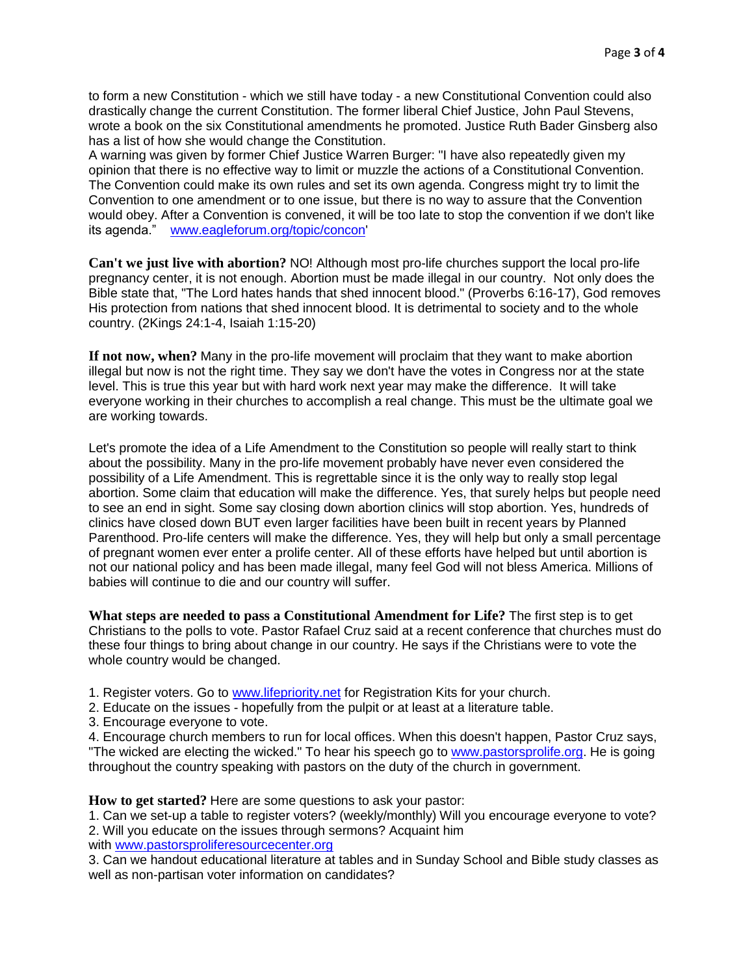to form a new Constitution - which we still have today - a new Constitutional Convention could also drastically change the current Constitution. The former liberal Chief Justice, John Paul Stevens, wrote a book on the six Constitutional amendments he promoted. Justice Ruth Bader Ginsberg also has a list of how she would change the Constitution.

A warning was given by former Chief Justice Warren Burger: "I have also repeatedly given my opinion that there is no effective way to limit or muzzle the actions of a Constitutional Convention. The Convention could make its own rules and set its own agenda. Congress might try to limit the Convention to one amendment or to one issue, but there is no way to assure that the Convention would obey. After a Convention is convened, it will be too late to stop the convention if we don't like its agenda." [www.eagleforum.org/topic/concon'](http://www.eagleforum.org/topica/concon)

**Can't we just live with abortion?** NO! Although most pro-life churches support the local pro-life pregnancy center, it is not enough. Abortion must be made illegal in our country. Not only does the Bible state that, "The Lord hates hands that shed innocent blood." (Proverbs 6:16-17), God removes His protection from nations that shed innocent blood. It is detrimental to society and to the whole country. (2Kings 24:1-4, Isaiah 1:15-20)

**If not now, when?** Many in the pro-life movement will proclaim that they want to make abortion illegal but now is not the right time. They say we don't have the votes in Congress nor at the state level. This is true this year but with hard work next year may make the difference. It will take everyone working in their churches to accomplish a real change. This must be the ultimate goal we are working towards.

Let's promote the idea of a Life Amendment to the Constitution so people will really start to think about the possibility. Many in the pro-life movement probably have never even considered the possibility of a Life Amendment. This is regrettable since it is the only way to really stop legal abortion. Some claim that education will make the difference. Yes, that surely helps but people need to see an end in sight. Some say closing down abortion clinics will stop abortion. Yes, hundreds of clinics have closed down BUT even larger facilities have been built in recent years by Planned Parenthood. Pro-life centers will make the difference. Yes, they will help but only a small percentage of pregnant women ever enter a prolife center. All of these efforts have helped but until abortion is not our national policy and has been made illegal, many feel God will not bless America. Millions of babies will continue to die and our country will suffer.

**What steps are needed to pass a Constitutional Amendment for Life?** The first step is to get Christians to the polls to vote. Pastor Rafael Cruz said at a recent conference that churches must do these four things to bring about change in our country. He says if the Christians were to vote the whole country would be changed.

1. Register voters. Go to [www.lifepriority.net](http://www.lifepriority.net/) for Registration Kits for your church.

2. Educate on the issues - hopefully from the pulpit or at least at a literature table.

3. Encourage everyone to vote.

4. Encourage church members to run for local offices. When this doesn't happen, Pastor Cruz says, "The wicked are electing the wicked." To hear his speech go to [www.pastorsprolife.org.](http://www.pastorsprolife.org/) He is going throughout the country speaking with pastors on the duty of the church in government.

**How to get started?** Here are some questions to ask your pastor:

1. Can we set-up a table to register voters? (weekly/monthly) Will you encourage everyone to vote? 2. Will you educate on the issues through sermons? Acquaint him with [www.pastorsproliferesourcecenter.org](http://www.pastorsproliferesourcecenter.org/)

3. Can we handout educational literature at tables and in Sunday School and Bible study classes as well as non-partisan voter information on candidates?